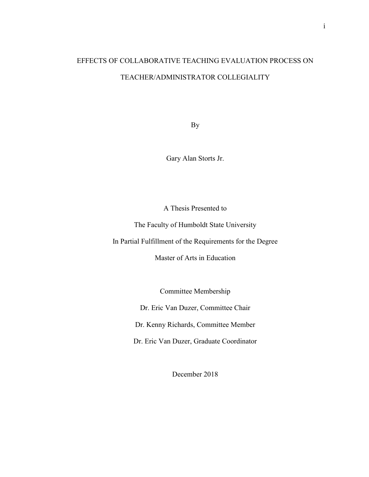# EFFECTS OF COLLABORATIVE TEACHING EVALUATION PROCESS ON TEACHER/ADMINISTRATOR COLLEGIALITY

By

Gary Alan Storts Jr.

A Thesis Presented to

The Faculty of Humboldt State University

In Partial Fulfillment of the Requirements for the Degree

Master of Arts in Education

Committee Membership

Dr. Eric Van Duzer, Committee Chair

Dr. Kenny Richards, Committee Member

Dr. Eric Van Duzer, Graduate Coordinator

December 2018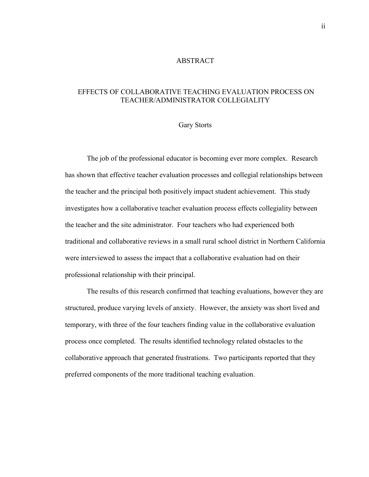#### ABSTRACT

## <span id="page-1-0"></span>EFFECTS OF COLLABORATIVE TEACHING EVALUATION PROCESS ON TEACHER/ADMINISTRATOR COLLEGIALITY

## Gary Storts

The job of the professional educator is becoming ever more complex. Research has shown that effective teacher evaluation processes and collegial relationships between the teacher and the principal both positively impact student achievement. This study investigates how a collaborative teacher evaluation process effects collegiality between the teacher and the site administrator. Four teachers who had experienced both traditional and collaborative reviews in a small rural school district in Northern California were interviewed to assess the impact that a collaborative evaluation had on their professional relationship with their principal.

The results of this research confirmed that teaching evaluations, however they are structured, produce varying levels of anxiety. However, the anxiety was short lived and temporary, with three of the four teachers finding value in the collaborative evaluation process once completed. The results identified technology related obstacles to the collaborative approach that generated frustrations. Two participants reported that they preferred components of the more traditional teaching evaluation.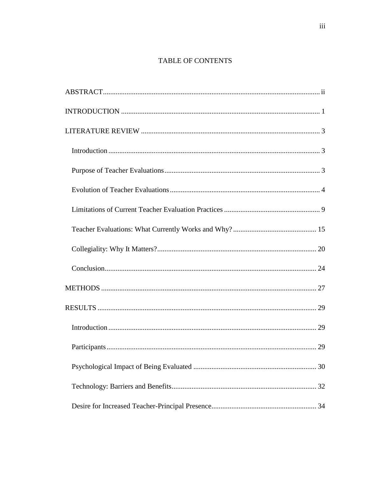## TABLE OF CONTENTS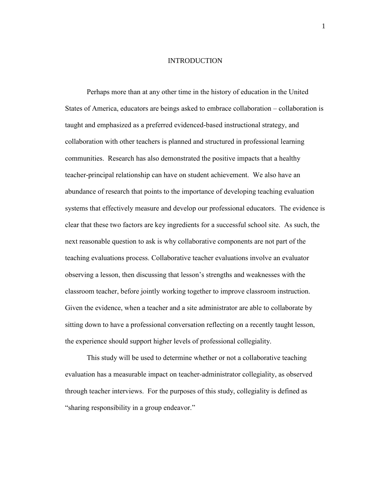#### INTRODUCTION

<span id="page-4-0"></span>Perhaps more than at any other time in the history of education in the United States of America, educators are beings asked to embrace collaboration – collaboration is taught and emphasized as a preferred evidenced-based instructional strategy, and collaboration with other teachers is planned and structured in professional learning communities. Research has also demonstrated the positive impacts that a healthy teacher-principal relationship can have on student achievement. We also have an abundance of research that points to the importance of developing teaching evaluation systems that effectively measure and develop our professional educators. The evidence is clear that these two factors are key ingredients for a successful school site. As such, the next reasonable question to ask is why collaborative components are not part of the teaching evaluations process. Collaborative teacher evaluations involve an evaluator observing a lesson, then discussing that lesson's strengths and weaknesses with the classroom teacher, before jointly working together to improve classroom instruction. Given the evidence, when a teacher and a site administrator are able to collaborate by sitting down to have a professional conversation reflecting on a recently taught lesson, the experience should support higher levels of professional collegiality.

This study will be used to determine whether or not a collaborative teaching evaluation has a measurable impact on teacher-administrator collegiality, as observed through teacher interviews. For the purposes of this study, collegiality is defined as "sharing responsibility in a group endeavor."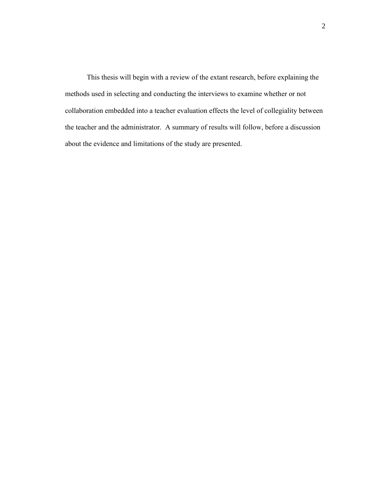This thesis will begin with a review of the extant research, before explaining the methods used in selecting and conducting the interviews to examine whether or not collaboration embedded into a teacher evaluation effects the level of collegiality between the teacher and the administrator. A summary of results will follow, before a discussion about the evidence and limitations of the study are presented.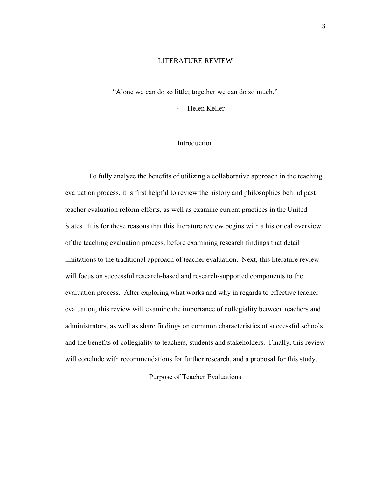#### LITERATURE REVIEW

<span id="page-6-0"></span>"Alone we can do so little; together we can do so much."

- Helen Keller

## Introduction

<span id="page-6-1"></span>To fully analyze the benefits of utilizing a collaborative approach in the teaching evaluation process, it is first helpful to review the history and philosophies behind past teacher evaluation reform efforts, as well as examine current practices in the United States. It is for these reasons that this literature review begins with a historical overview of the teaching evaluation process, before examining research findings that detail limitations to the traditional approach of teacher evaluation. Next, this literature review will focus on successful research-based and research-supported components to the evaluation process. After exploring what works and why in regards to effective teacher evaluation, this review will examine the importance of collegiality between teachers and administrators, as well as share findings on common characteristics of successful schools, and the benefits of collegiality to teachers, students and stakeholders. Finally, this review will conclude with recommendations for further research, and a proposal for this study.

<span id="page-6-2"></span>Purpose of Teacher Evaluations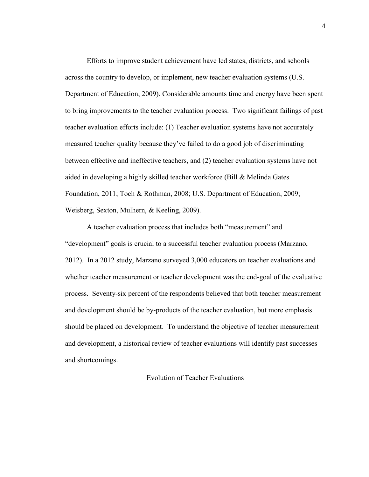Efforts to improve student achievement have led states, districts, and schools across the country to develop, or implement, new teacher evaluation systems (U.S. Department of Education, 2009). Considerable amounts time and energy have been spent to bring improvements to the teacher evaluation process. Two significant failings of past teacher evaluation efforts include: (1) Teacher evaluation systems have not accurately measured teacher quality because they've failed to do a good job of discriminating between effective and ineffective teachers, and (2) teacher evaluation systems have not aided in developing a highly skilled teacher workforce (Bill & Melinda Gates Foundation, 2011; Toch & Rothman, 2008; U.S. Department of Education, 2009; Weisberg, Sexton, Mulhern, & Keeling, 2009).

A teacher evaluation process that includes both "measurement" and "development" goals is crucial to a successful teacher evaluation process (Marzano, 2012). In a 2012 study, Marzano surveyed 3,000 educators on teacher evaluations and whether teacher measurement or teacher development was the end-goal of the evaluative process. Seventy-six percent of the respondents believed that both teacher measurement and development should be by-products of the teacher evaluation, but more emphasis should be placed on development. To understand the objective of teacher measurement and development, a historical review of teacher evaluations will identify past successes and shortcomings.

## <span id="page-7-0"></span>Evolution of Teacher Evaluations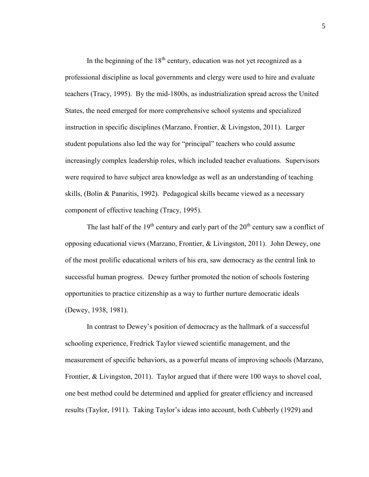In the beginning of the  $18<sup>th</sup>$  century, education was not yet recognized as a professional discipline as local governments and clergy were used to hire and evaluate teachers (Tracy, 1995). By the mid-1800s, as industrialization spread across the United States, the need emerged for more comprehensive school systems and specialized instruction in specific disciplines (Marzano, Frontier, & Livingston, 2011). Larger student populations also led the way for "principal" teachers who could assume increasingly complex leadership roles, which included teacher evaluations. Supervisors were required to have subject area knowledge as well as an understanding of teaching skills, (Bolin & Panaritis, 1992). Pedagogical skills became viewed as a necessary component of effective teaching (Tracy, 1995).

The last half of the  $19<sup>th</sup>$  century and early part of the  $20<sup>th</sup>$  century saw a conflict of opposing educational views (Marzano, Frontier, & Livingston, 2011). John Dewey, one of the most prolific educational writers of his era, saw democracy as the central link to successful human progress. Dewey further promoted the notion of schools fostering opportunities to practice citizenship as a way to further nurture democratic ideals (Dewey, 1938, 1981).

In contrast to Dewey's position of democracy as the hallmark of a successful schooling experience, Fredrick Taylor viewed scientific management, and the measurement of specific behaviors, as a powerful means of improving schools (Marzano, Frontier, & Livingston, 2011). Taylor argued that if there were 100 ways to shovel coal, one best method could be determined and applied for greater efficiency and increased results (Taylor, 1911). Taking Taylor's ideas into account, both Cubberly (1929) and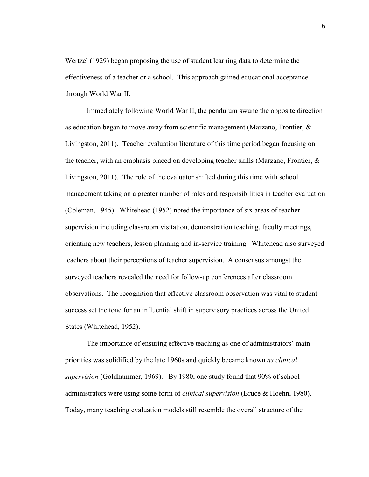Wertzel (1929) began proposing the use of student learning data to determine the effectiveness of a teacher or a school. This approach gained educational acceptance through World War II.

Immediately following World War II, the pendulum swung the opposite direction as education began to move away from scientific management (Marzano, Frontier, & Livingston, 2011). Teacher evaluation literature of this time period began focusing on the teacher, with an emphasis placed on developing teacher skills (Marzano, Frontier,  $\&$ Livingston, 2011). The role of the evaluator shifted during this time with school management taking on a greater number of roles and responsibilities in teacher evaluation (Coleman, 1945). Whitehead (1952) noted the importance of six areas of teacher supervision including classroom visitation, demonstration teaching, faculty meetings, orienting new teachers, lesson planning and in-service training. Whitehead also surveyed teachers about their perceptions of teacher supervision. A consensus amongst the surveyed teachers revealed the need for follow-up conferences after classroom observations. The recognition that effective classroom observation was vital to student success set the tone for an influential shift in supervisory practices across the United States (Whitehead, 1952).

The importance of ensuring effective teaching as one of administrators' main priorities was solidified by the late 1960s and quickly became known *as clinical supervision* (Goldhammer, 1969). By 1980, one study found that 90% of school administrators were using some form of *clinical supervision* (Bruce & Hoehn, 1980). Today, many teaching evaluation models still resemble the overall structure of the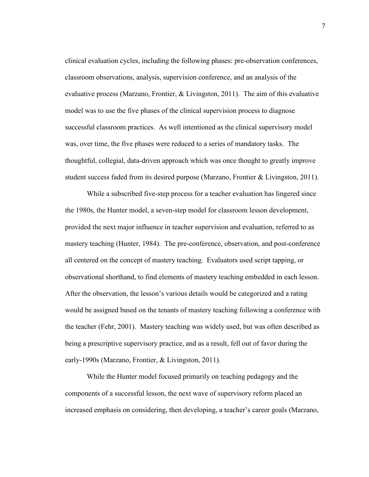clinical evaluation cycles, including the following phases: pre-observation conferences, classroom observations, analysis, supervision conference, and an analysis of the evaluative process (Marzano, Frontier, & Livingston, 2011). The aim of this evaluative model was to use the five phases of the clinical supervision process to diagnose successful classroom practices. As well intentioned as the clinical supervisory model was, over time, the five phases were reduced to a series of mandatory tasks. The thoughtful, collegial, data-driven approach which was once thought to greatly improve student success faded from its desired purpose (Marzano, Frontier & Livingston, 2011).

While a subscribed five-step process for a teacher evaluation has lingered since the 1980s, the Hunter model, a seven-step model for classroom lesson development, provided the next major influence in teacher supervision and evaluation, referred to as mastery teaching (Hunter, 1984). The pre-conference, observation, and post-conference all centered on the concept of mastery teaching. Evaluators used script tapping, or observational shorthand, to find elements of mastery teaching embedded in each lesson. After the observation, the lesson's various details would be categorized and a rating would be assigned based on the tenants of mastery teaching following a conference with the teacher (Fehr, 2001). Mastery teaching was widely used, but was often described as being a prescriptive supervisory practice, and as a result, fell out of favor during the early-1990s (Marzano, Frontier, & Livingston, 2011).

While the Hunter model focused primarily on teaching pedagogy and the components of a successful lesson, the next wave of supervisory reform placed an increased emphasis on considering, then developing, a teacher's career goals (Marzano,

7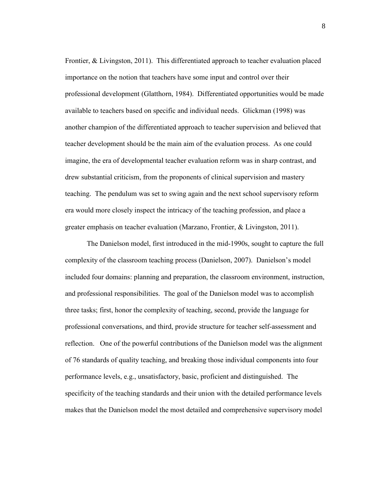Frontier, & Livingston, 2011). This differentiated approach to teacher evaluation placed importance on the notion that teachers have some input and control over their professional development (Glatthorn, 1984). Differentiated opportunities would be made available to teachers based on specific and individual needs. Glickman (1998) was another champion of the differentiated approach to teacher supervision and believed that teacher development should be the main aim of the evaluation process. As one could imagine, the era of developmental teacher evaluation reform was in sharp contrast, and drew substantial criticism, from the proponents of clinical supervision and mastery teaching. The pendulum was set to swing again and the next school supervisory reform era would more closely inspect the intricacy of the teaching profession, and place a greater emphasis on teacher evaluation (Marzano, Frontier, & Livingston, 2011).

The Danielson model, first introduced in the mid-1990s, sought to capture the full complexity of the classroom teaching process (Danielson, 2007). Danielson's model included four domains: planning and preparation, the classroom environment, instruction, and professional responsibilities. The goal of the Danielson model was to accomplish three tasks; first, honor the complexity of teaching, second, provide the language for professional conversations, and third, provide structure for teacher self-assessment and reflection. One of the powerful contributions of the Danielson model was the alignment of 76 standards of quality teaching, and breaking those individual components into four performance levels, e.g., unsatisfactory, basic, proficient and distinguished. The specificity of the teaching standards and their union with the detailed performance levels makes that the Danielson model the most detailed and comprehensive supervisory model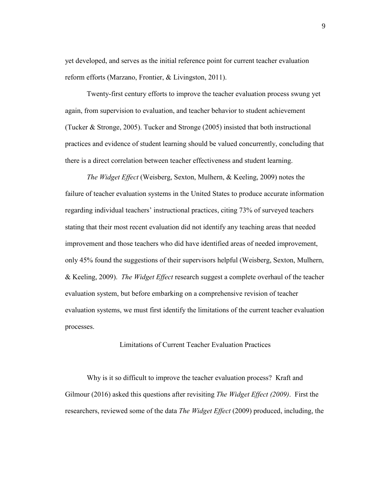yet developed, and serves as the initial reference point for current teacher evaluation reform efforts (Marzano, Frontier, & Livingston, 2011).

Twenty-first century efforts to improve the teacher evaluation process swung yet again, from supervision to evaluation, and teacher behavior to student achievement (Tucker & Stronge, 2005). Tucker and Stronge (2005) insisted that both instructional practices and evidence of student learning should be valued concurrently, concluding that there is a direct correlation between teacher effectiveness and student learning.

*The Widget Effect* (Weisberg, Sexton, Mulhern, & Keeling, 2009) notes the failure of teacher evaluation systems in the United States to produce accurate information regarding individual teachers' instructional practices, citing 73% of surveyed teachers stating that their most recent evaluation did not identify any teaching areas that needed improvement and those teachers who did have identified areas of needed improvement, only 45% found the suggestions of their supervisors helpful (Weisberg, Sexton, Mulhern, & Keeling, 2009). *The Widget Effect* research suggest a complete overhaul of the teacher evaluation system, but before embarking on a comprehensive revision of teacher evaluation systems, we must first identify the limitations of the current teacher evaluation processes.

## Limitations of Current Teacher Evaluation Practices

<span id="page-12-0"></span>Why is it so difficult to improve the teacher evaluation process? Kraft and Gilmour (2016) asked this questions after revisiting *The Widget Effect (2009)*. First the researchers, reviewed some of the data *The Widget Effect* (2009) produced, including, the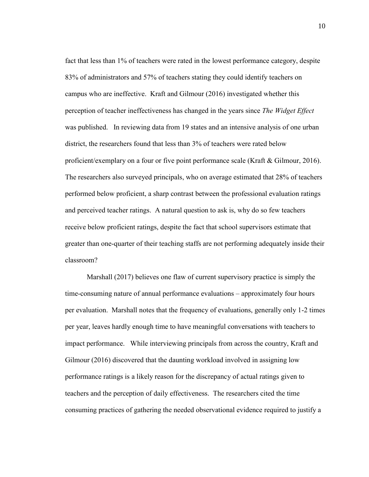fact that less than 1% of teachers were rated in the lowest performance category, despite 83% of administrators and 57% of teachers stating they could identify teachers on campus who are ineffective. Kraft and Gilmour (2016) investigated whether this perception of teacher ineffectiveness has changed in the years since *The Widget Effect* was published. In reviewing data from 19 states and an intensive analysis of one urban district, the researchers found that less than 3% of teachers were rated below proficient/exemplary on a four or five point performance scale (Kraft & Gilmour, 2016). The researchers also surveyed principals, who on average estimated that 28% of teachers performed below proficient, a sharp contrast between the professional evaluation ratings and perceived teacher ratings. A natural question to ask is, why do so few teachers receive below proficient ratings, despite the fact that school supervisors estimate that greater than one-quarter of their teaching staffs are not performing adequately inside their classroom?

Marshall (2017) believes one flaw of current supervisory practice is simply the time-consuming nature of annual performance evaluations – approximately four hours per evaluation. Marshall notes that the frequency of evaluations, generally only 1-2 times per year, leaves hardly enough time to have meaningful conversations with teachers to impact performance. While interviewing principals from across the country, Kraft and Gilmour (2016) discovered that the daunting workload involved in assigning low performance ratings is a likely reason for the discrepancy of actual ratings given to teachers and the perception of daily effectiveness. The researchers cited the time consuming practices of gathering the needed observational evidence required to justify a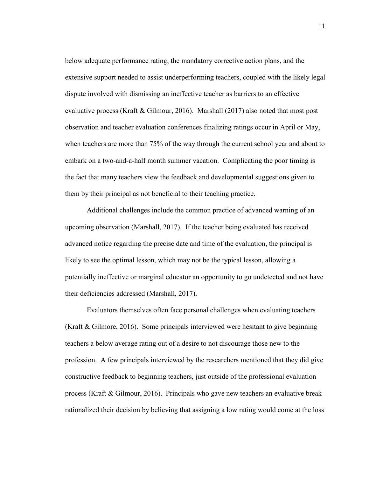below adequate performance rating, the mandatory corrective action plans, and the extensive support needed to assist underperforming teachers, coupled with the likely legal dispute involved with dismissing an ineffective teacher as barriers to an effective evaluative process (Kraft & Gilmour, 2016). Marshall (2017) also noted that most post observation and teacher evaluation conferences finalizing ratings occur in April or May, when teachers are more than 75% of the way through the current school year and about to embark on a two-and-a-half month summer vacation. Complicating the poor timing is the fact that many teachers view the feedback and developmental suggestions given to them by their principal as not beneficial to their teaching practice.

Additional challenges include the common practice of advanced warning of an upcoming observation (Marshall, 2017). If the teacher being evaluated has received advanced notice regarding the precise date and time of the evaluation, the principal is likely to see the optimal lesson, which may not be the typical lesson, allowing a potentially ineffective or marginal educator an opportunity to go undetected and not have their deficiencies addressed (Marshall, 2017).

Evaluators themselves often face personal challenges when evaluating teachers (Kraft & Gilmore, 2016). Some principals interviewed were hesitant to give beginning teachers a below average rating out of a desire to not discourage those new to the profession. A few principals interviewed by the researchers mentioned that they did give constructive feedback to beginning teachers, just outside of the professional evaluation process (Kraft & Gilmour, 2016). Principals who gave new teachers an evaluative break rationalized their decision by believing that assigning a low rating would come at the loss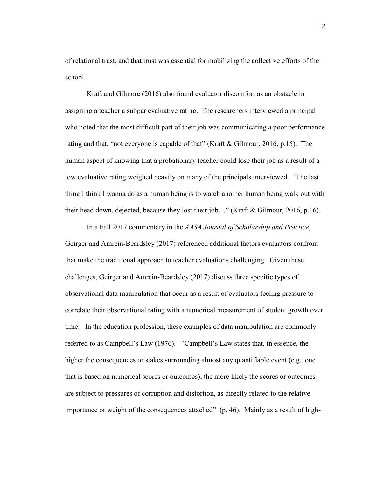of relational trust, and that trust was essential for mobilizing the collective efforts of the school.

Kraft and Gilmore (2016) also found evaluator discomfort as an obstacle in assigning a teacher a subpar evaluative rating. The researchers interviewed a principal who noted that the most difficult part of their job was communicating a poor performance rating and that, "not everyone is capable of that" (Kraft & Gilmour, 2016, p.15). The human aspect of knowing that a probationary teacher could lose their job as a result of a low evaluative rating weighed heavily on many of the principals interviewed. "The last thing I think I wanna do as a human being is to watch another human being walk out with their head down, dejected, because they lost their job…" (Kraft & Gilmour, 2016, p.16).

In a Fall 2017 commentary in the *AASA Journal of Scholarship and Practice*, Geirger and Amrein-Beardsley (2017) referenced additional factors evaluators confront that make the traditional approach to teacher evaluations challenging. Given these challenges, Geirger and Amrein-Beardsley (2017) discuss three specific types of observational data manipulation that occur as a result of evaluators feeling pressure to correlate their observational rating with a numerical measurement of student growth over time. In the education profession, these examples of data manipulation are commonly referred to as Campbell's Law (1976). "Campbell's Law states that, in essence, the higher the consequences or stakes surrounding almost any quantifiable event (e.g., one that is based on numerical scores or outcomes), the more likely the scores or outcomes are subject to pressures of corruption and distortion, as directly related to the relative importance or weight of the consequences attached" (p. 46). Mainly as a result of high-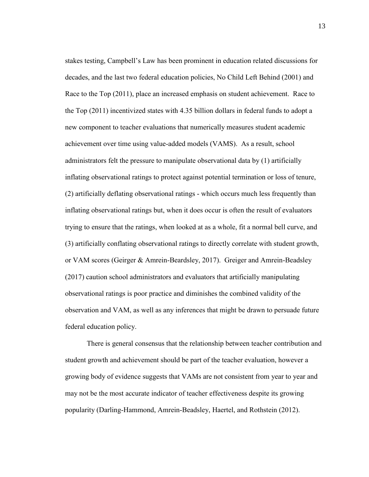stakes testing, Campbell's Law has been prominent in education related discussions for decades, and the last two federal education policies, No Child Left Behind (2001) and Race to the Top (2011), place an increased emphasis on student achievement. Race to the Top (2011) incentivized states with 4.35 billion dollars in federal funds to adopt a new component to teacher evaluations that numerically measures student academic achievement over time using value-added models (VAMS). As a result, school administrators felt the pressure to manipulate observational data by (1) artificially inflating observational ratings to protect against potential termination or loss of tenure, (2) artificially deflating observational ratings - which occurs much less frequently than inflating observational ratings but, when it does occur is often the result of evaluators trying to ensure that the ratings, when looked at as a whole, fit a normal bell curve, and (3) artificially conflating observational ratings to directly correlate with student growth, or VAM scores (Geirger & Amrein-Beardsley, 2017). Greiger and Amrein-Beadsley (2017) caution school administrators and evaluators that artificially manipulating observational ratings is poor practice and diminishes the combined validity of the observation and VAM, as well as any inferences that might be drawn to persuade future federal education policy.

There is general consensus that the relationship between teacher contribution and student growth and achievement should be part of the teacher evaluation, however a growing body of evidence suggests that VAMs are not consistent from year to year and may not be the most accurate indicator of teacher effectiveness despite its growing popularity (Darling-Hammond, Amrein-Beadsley, Haertel, and Rothstein (2012).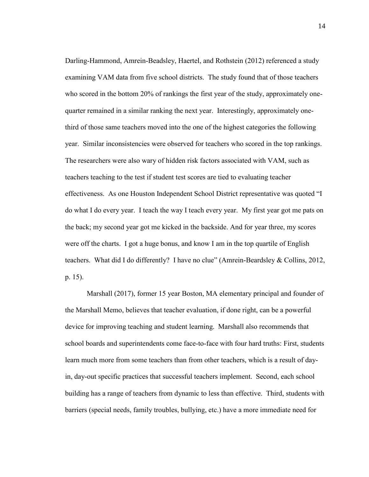Darling-Hammond, Amrein-Beadsley, Haertel, and Rothstein (2012) referenced a study examining VAM data from five school districts. The study found that of those teachers who scored in the bottom 20% of rankings the first year of the study, approximately onequarter remained in a similar ranking the next year. Interestingly, approximately onethird of those same teachers moved into the one of the highest categories the following year. Similar inconsistencies were observed for teachers who scored in the top rankings. The researchers were also wary of hidden risk factors associated with VAM, such as teachers teaching to the test if student test scores are tied to evaluating teacher effectiveness. As one Houston Independent School District representative was quoted "I do what I do every year. I teach the way I teach every year. My first year got me pats on the back; my second year got me kicked in the backside. And for year three, my scores were off the charts. I got a huge bonus, and know I am in the top quartile of English teachers. What did I do differently? I have no clue" (Amrein-Beardsley & Collins, 2012, p. 15).

Marshall (2017), former 15 year Boston, MA elementary principal and founder of the Marshall Memo, believes that teacher evaluation, if done right, can be a powerful device for improving teaching and student learning. Marshall also recommends that school boards and superintendents come face-to-face with four hard truths: First, students learn much more from some teachers than from other teachers, which is a result of dayin, day-out specific practices that successful teachers implement. Second, each school building has a range of teachers from dynamic to less than effective. Third, students with barriers (special needs, family troubles, bullying, etc.) have a more immediate need for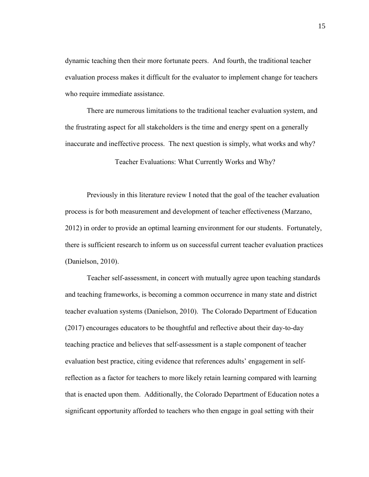dynamic teaching then their more fortunate peers. And fourth, the traditional teacher evaluation process makes it difficult for the evaluator to implement change for teachers who require immediate assistance.

There are numerous limitations to the traditional teacher evaluation system, and the frustrating aspect for all stakeholders is the time and energy spent on a generally inaccurate and ineffective process. The next question is simply, what works and why?

Teacher Evaluations: What Currently Works and Why?

<span id="page-18-0"></span>Previously in this literature review I noted that the goal of the teacher evaluation process is for both measurement and development of teacher effectiveness (Marzano, 2012) in order to provide an optimal learning environment for our students. Fortunately, there is sufficient research to inform us on successful current teacher evaluation practices (Danielson, 2010).

Teacher self-assessment, in concert with mutually agree upon teaching standards and teaching frameworks, is becoming a common occurrence in many state and district teacher evaluation systems (Danielson, 2010). The Colorado Department of Education (2017) encourages educators to be thoughtful and reflective about their day-to-day teaching practice and believes that self-assessment is a staple component of teacher evaluation best practice, citing evidence that references adults' engagement in selfreflection as a factor for teachers to more likely retain learning compared with learning that is enacted upon them. Additionally, the Colorado Department of Education notes a significant opportunity afforded to teachers who then engage in goal setting with their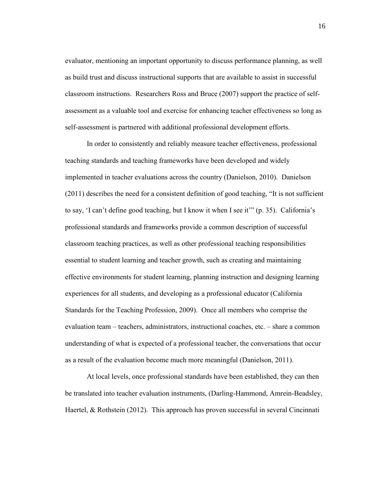evaluator, mentioning an important opportunity to discuss performance planning, as well as build trust and discuss instructional supports that are available to assist in successful classroom instructions. Researchers Ross and Bruce (2007) support the practice of selfassessment as a valuable tool and exercise for enhancing teacher effectiveness so long as self-assessment is partnered with additional professional development efforts.

In order to consistently and reliably measure teacher effectiveness, professional teaching standards and teaching frameworks have been developed and widely implemented in teacher evaluations across the country (Danielson, 2010). Danielson (2011) describes the need for a consistent definition of good teaching, "It is not sufficient to say, 'I can't define good teaching, but I know it when I see it'" (p. 35). California's professional standards and frameworks provide a common description of successful classroom teaching practices, as well as other professional teaching responsibilities essential to student learning and teacher growth, such as creating and maintaining effective environments for student learning, planning instruction and designing learning experiences for all students, and developing as a professional educator (California Standards for the Teaching Profession, 2009). Once all members who comprise the evaluation team – teachers, administrators, instructional coaches, etc. – share a common understanding of what is expected of a professional teacher, the conversations that occur as a result of the evaluation become much more meaningful (Danielson, 2011).

At local levels, once professional standards have been established, they can then be translated into teacher evaluation instruments, (Darling-Hammond, Amrein-Beadsley, Haertel, & Rothstein (2012). This approach has proven successful in several Cincinnati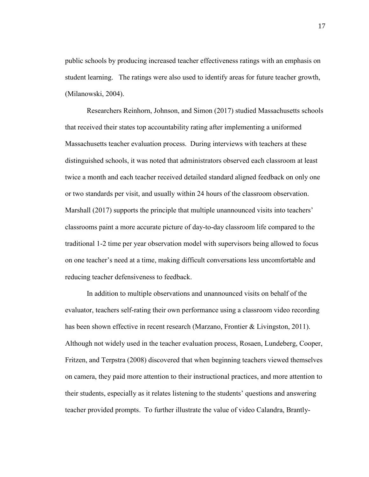public schools by producing increased teacher effectiveness ratings with an emphasis on student learning. The ratings were also used to identify areas for future teacher growth, (Milanowski, 2004).

Researchers Reinhorn, Johnson, and Simon (2017) studied Massachusetts schools that received their states top accountability rating after implementing a uniformed Massachusetts teacher evaluation process. During interviews with teachers at these distinguished schools, it was noted that administrators observed each classroom at least twice a month and each teacher received detailed standard aligned feedback on only one or two standards per visit, and usually within 24 hours of the classroom observation. Marshall (2017) supports the principle that multiple unannounced visits into teachers' classrooms paint a more accurate picture of day-to-day classroom life compared to the traditional 1-2 time per year observation model with supervisors being allowed to focus on one teacher's need at a time, making difficult conversations less uncomfortable and reducing teacher defensiveness to feedback.

In addition to multiple observations and unannounced visits on behalf of the evaluator, teachers self-rating their own performance using a classroom video recording has been shown effective in recent research (Marzano, Frontier & Livingston, 2011). Although not widely used in the teacher evaluation process, Rosaen, Lundeberg, Cooper, Fritzen, and Terpstra (2008) discovered that when beginning teachers viewed themselves on camera, they paid more attention to their instructional practices, and more attention to their students, especially as it relates listening to the students' questions and answering teacher provided prompts. To further illustrate the value of video Calandra, Brantly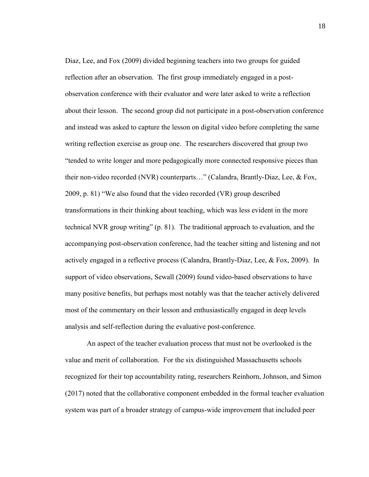Diaz, Lee, and Fox (2009) divided beginning teachers into two groups for guided reflection after an observation. The first group immediately engaged in a postobservation conference with their evaluator and were later asked to write a reflection about their lesson. The second group did not participate in a post-observation conference and instead was asked to capture the lesson on digital video before completing the same writing reflection exercise as group one. The researchers discovered that group two "tended to write longer and more pedagogically more connected responsive pieces than their non-video recorded (NVR) counterparts…" (Calandra, Brantly-Diaz, Lee, & Fox, 2009, p. 81) "We also found that the video recorded (VR) group described transformations in their thinking about teaching, which was less evident in the more technical NVR group writing" (p. 81). The traditional approach to evaluation, and the accompanying post-observation conference, had the teacher sitting and listening and not actively engaged in a reflective process (Calandra, Brantly-Diaz, Lee, & Fox, 2009). In support of video observations, Sewall (2009) found video-based observations to have many positive benefits, but perhaps most notably was that the teacher actively delivered most of the commentary on their lesson and enthusiastically engaged in deep levels analysis and self-reflection during the evaluative post-conference.

An aspect of the teacher evaluation process that must not be overlooked is the value and merit of collaboration. For the six distinguished Massachusetts schools recognized for their top accountability rating, researchers Reinhorn, Johnson, and Simon (2017) noted that the collaborative component embedded in the formal teacher evaluation system was part of a broader strategy of campus-wide improvement that included peer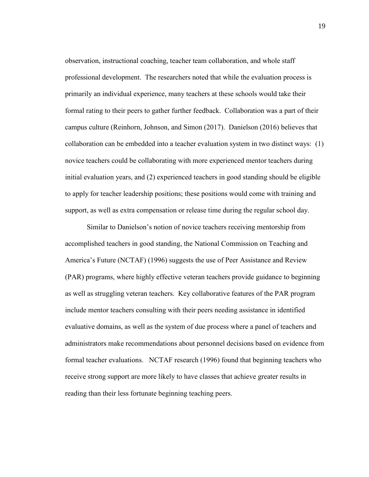observation, instructional coaching, teacher team collaboration, and whole staff professional development. The researchers noted that while the evaluation process is primarily an individual experience, many teachers at these schools would take their formal rating to their peers to gather further feedback. Collaboration was a part of their campus culture (Reinhorn, Johnson, and Simon (2017). Danielson (2016) believes that collaboration can be embedded into a teacher evaluation system in two distinct ways: (1) novice teachers could be collaborating with more experienced mentor teachers during initial evaluation years, and (2) experienced teachers in good standing should be eligible to apply for teacher leadership positions; these positions would come with training and support, as well as extra compensation or release time during the regular school day.

Similar to Danielson's notion of novice teachers receiving mentorship from accomplished teachers in good standing, the National Commission on Teaching and America's Future (NCTAF) (1996) suggests the use of Peer Assistance and Review (PAR) programs, where highly effective veteran teachers provide guidance to beginning as well as struggling veteran teachers. Key collaborative features of the PAR program include mentor teachers consulting with their peers needing assistance in identified evaluative domains, as well as the system of due process where a panel of teachers and administrators make recommendations about personnel decisions based on evidence from formal teacher evaluations. NCTAF research (1996) found that beginning teachers who receive strong support are more likely to have classes that achieve greater results in reading than their less fortunate beginning teaching peers.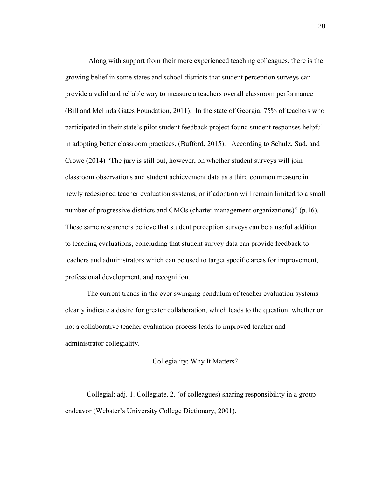Along with support from their more experienced teaching colleagues, there is the growing belief in some states and school districts that student perception surveys can provide a valid and reliable way to measure a teachers overall classroom performance (Bill and Melinda Gates Foundation, 2011). In the state of Georgia, 75% of teachers who participated in their state's pilot student feedback project found student responses helpful in adopting better classroom practices, (Bufford, 2015). According to Schulz, Sud, and Crowe (2014) "The jury is still out, however, on whether student surveys will join classroom observations and student achievement data as a third common measure in newly redesigned teacher evaluation systems, or if adoption will remain limited to a small number of progressive districts and CMOs (charter management organizations)" (p.16). These same researchers believe that student perception surveys can be a useful addition to teaching evaluations, concluding that student survey data can provide feedback to teachers and administrators which can be used to target specific areas for improvement, professional development, and recognition.

The current trends in the ever swinging pendulum of teacher evaluation systems clearly indicate a desire for greater collaboration, which leads to the question: whether or not a collaborative teacher evaluation process leads to improved teacher and administrator collegiality.

#### Collegiality: Why It Matters?

<span id="page-23-0"></span>Collegial: adj. 1. Collegiate. 2. (of colleagues) sharing responsibility in a group endeavor (Webster's University College Dictionary, 2001).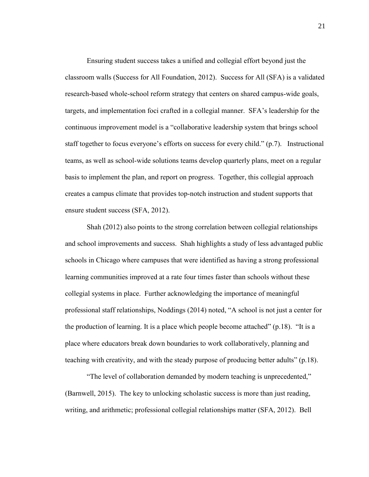Ensuring student success takes a unified and collegial effort beyond just the classroom walls (Success for All Foundation, 2012). Success for All (SFA) is a validated research-based whole-school reform strategy that centers on shared campus-wide goals, targets, and implementation foci crafted in a collegial manner. SFA's leadership for the continuous improvement model is a "collaborative leadership system that brings school staff together to focus everyone's efforts on success for every child." (p.7). Instructional teams, as well as school-wide solutions teams develop quarterly plans, meet on a regular basis to implement the plan, and report on progress. Together, this collegial approach creates a campus climate that provides top-notch instruction and student supports that ensure student success (SFA, 2012).

Shah (2012) also points to the strong correlation between collegial relationships and school improvements and success. Shah highlights a study of less advantaged public schools in Chicago where campuses that were identified as having a strong professional learning communities improved at a rate four times faster than schools without these collegial systems in place. Further acknowledging the importance of meaningful professional staff relationships, Noddings (2014) noted, "A school is not just a center for the production of learning. It is a place which people become attached" (p.18). "It is a place where educators break down boundaries to work collaboratively, planning and teaching with creativity, and with the steady purpose of producing better adults" (p.18).

"The level of collaboration demanded by modern teaching is unprecedented," (Barnwell, 2015). The key to unlocking scholastic success is more than just reading, writing, and arithmetic; professional collegial relationships matter (SFA, 2012). Bell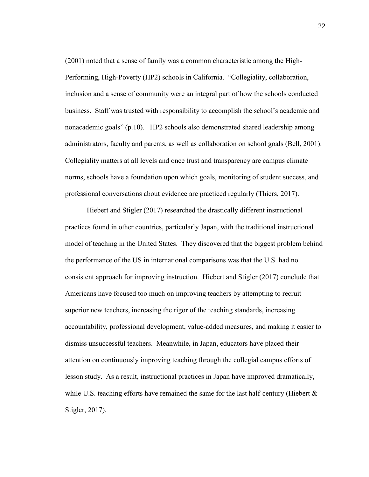(2001) noted that a sense of family was a common characteristic among the High-Performing, High-Poverty (HP2) schools in California. "Collegiality, collaboration, inclusion and a sense of community were an integral part of how the schools conducted business. Staff was trusted with responsibility to accomplish the school's academic and nonacademic goals" (p.10). HP2 schools also demonstrated shared leadership among administrators, faculty and parents, as well as collaboration on school goals (Bell, 2001). Collegiality matters at all levels and once trust and transparency are campus climate norms, schools have a foundation upon which goals, monitoring of student success, and professional conversations about evidence are practiced regularly (Thiers, 2017).

Hiebert and Stigler (2017) researched the drastically different instructional practices found in other countries, particularly Japan, with the traditional instructional model of teaching in the United States. They discovered that the biggest problem behind the performance of the US in international comparisons was that the U.S. had no consistent approach for improving instruction. Hiebert and Stigler (2017) conclude that Americans have focused too much on improving teachers by attempting to recruit superior new teachers, increasing the rigor of the teaching standards, increasing accountability, professional development, value-added measures, and making it easier to dismiss unsuccessful teachers. Meanwhile, in Japan, educators have placed their attention on continuously improving teaching through the collegial campus efforts of lesson study. As a result, instructional practices in Japan have improved dramatically, while U.S. teaching efforts have remained the same for the last half-century (Hiebert  $\&$ Stigler, 2017).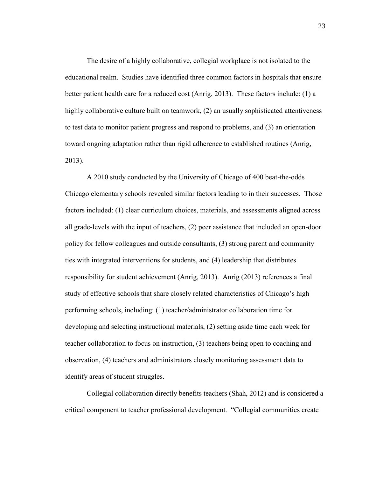The desire of a highly collaborative, collegial workplace is not isolated to the educational realm. Studies have identified three common factors in hospitals that ensure better patient health care for a reduced cost (Anrig, 2013). These factors include: (1) a highly collaborative culture built on teamwork, (2) an usually sophisticated attentiveness to test data to monitor patient progress and respond to problems, and (3) an orientation toward ongoing adaptation rather than rigid adherence to established routines (Anrig, 2013).

A 2010 study conducted by the University of Chicago of 400 beat-the-odds Chicago elementary schools revealed similar factors leading to in their successes. Those factors included: (1) clear curriculum choices, materials, and assessments aligned across all grade-levels with the input of teachers, (2) peer assistance that included an open-door policy for fellow colleagues and outside consultants, (3) strong parent and community ties with integrated interventions for students, and (4) leadership that distributes responsibility for student achievement (Anrig, 2013). Anrig (2013) references a final study of effective schools that share closely related characteristics of Chicago's high performing schools, including: (1) teacher/administrator collaboration time for developing and selecting instructional materials, (2) setting aside time each week for teacher collaboration to focus on instruction, (3) teachers being open to coaching and observation, (4) teachers and administrators closely monitoring assessment data to identify areas of student struggles.

Collegial collaboration directly benefits teachers (Shah, 2012) and is considered a critical component to teacher professional development. "Collegial communities create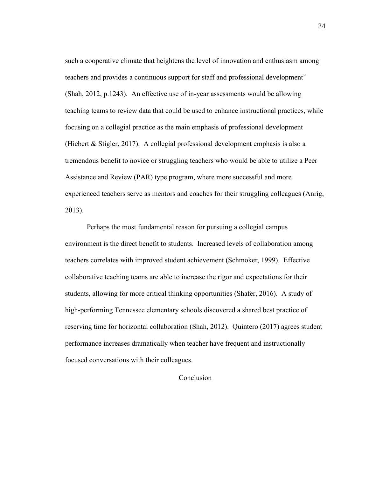such a cooperative climate that heightens the level of innovation and enthusiasm among teachers and provides a continuous support for staff and professional development" (Shah, 2012, p.1243). An effective use of in-year assessments would be allowing teaching teams to review data that could be used to enhance instructional practices, while focusing on a collegial practice as the main emphasis of professional development (Hiebert & Stigler, 2017). A collegial professional development emphasis is also a tremendous benefit to novice or struggling teachers who would be able to utilize a Peer Assistance and Review (PAR) type program, where more successful and more experienced teachers serve as mentors and coaches for their struggling colleagues (Anrig, 2013).

Perhaps the most fundamental reason for pursuing a collegial campus environment is the direct benefit to students. Increased levels of collaboration among teachers correlates with improved student achievement (Schmoker, 1999). Effective collaborative teaching teams are able to increase the rigor and expectations for their students, allowing for more critical thinking opportunities (Shafer, 2016). A study of high-performing Tennessee elementary schools discovered a shared best practice of reserving time for horizontal collaboration (Shah, 2012). Quintero (2017) agrees student performance increases dramatically when teacher have frequent and instructionally focused conversations with their colleagues.

#### <span id="page-27-0"></span>Conclusion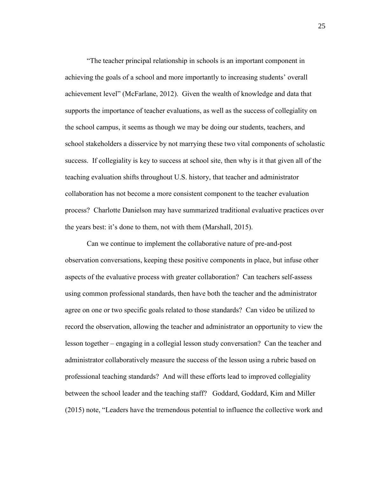"The teacher principal relationship in schools is an important component in achieving the goals of a school and more importantly to increasing students' overall achievement level" (McFarlane, 2012). Given the wealth of knowledge and data that supports the importance of teacher evaluations, as well as the success of collegiality on the school campus, it seems as though we may be doing our students, teachers, and school stakeholders a disservice by not marrying these two vital components of scholastic success. If collegiality is key to success at school site, then why is it that given all of the teaching evaluation shifts throughout U.S. history, that teacher and administrator collaboration has not become a more consistent component to the teacher evaluation process? Charlotte Danielson may have summarized traditional evaluative practices over the years best: it's done to them, not with them (Marshall, 2015).

Can we continue to implement the collaborative nature of pre-and-post observation conversations, keeping these positive components in place, but infuse other aspects of the evaluative process with greater collaboration? Can teachers self-assess using common professional standards, then have both the teacher and the administrator agree on one or two specific goals related to those standards? Can video be utilized to record the observation, allowing the teacher and administrator an opportunity to view the lesson together – engaging in a collegial lesson study conversation? Can the teacher and administrator collaboratively measure the success of the lesson using a rubric based on professional teaching standards? And will these efforts lead to improved collegiality between the school leader and the teaching staff? Goddard, Goddard, Kim and Miller (2015) note, "Leaders have the tremendous potential to influence the collective work and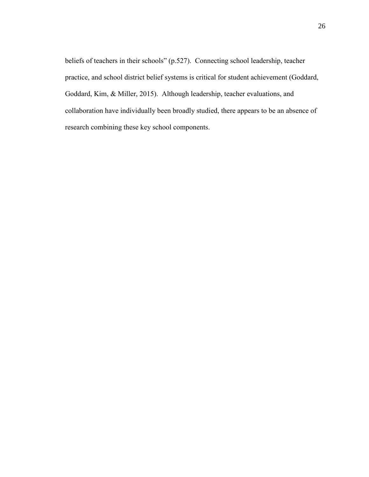beliefs of teachers in their schools" (p.527). Connecting school leadership, teacher practice, and school district belief systems is critical for student achievement (Goddard, Goddard, Kim, & Miller, 2015). Although leadership, teacher evaluations, and collaboration have individually been broadly studied, there appears to be an absence of research combining these key school components.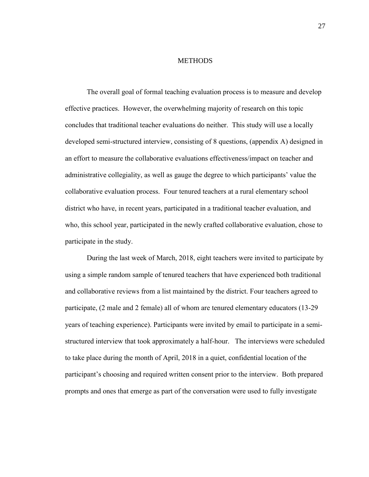#### **METHODS**

<span id="page-30-0"></span>The overall goal of formal teaching evaluation process is to measure and develop effective practices. However, the overwhelming majority of research on this topic concludes that traditional teacher evaluations do neither. This study will use a locally developed semi-structured interview, consisting of 8 questions, (appendix A) designed in an effort to measure the collaborative evaluations effectiveness/impact on teacher and administrative collegiality, as well as gauge the degree to which participants' value the collaborative evaluation process. Four tenured teachers at a rural elementary school district who have, in recent years, participated in a traditional teacher evaluation, and who, this school year, participated in the newly crafted collaborative evaluation, chose to participate in the study.

During the last week of March, 2018, eight teachers were invited to participate by using a simple random sample of tenured teachers that have experienced both traditional and collaborative reviews from a list maintained by the district. Four teachers agreed to participate, (2 male and 2 female) all of whom are tenured elementary educators (13-29 years of teaching experience). Participants were invited by email to participate in a semistructured interview that took approximately a half-hour. The interviews were scheduled to take place during the month of April, 2018 in a quiet, confidential location of the participant's choosing and required written consent prior to the interview. Both prepared prompts and ones that emerge as part of the conversation were used to fully investigate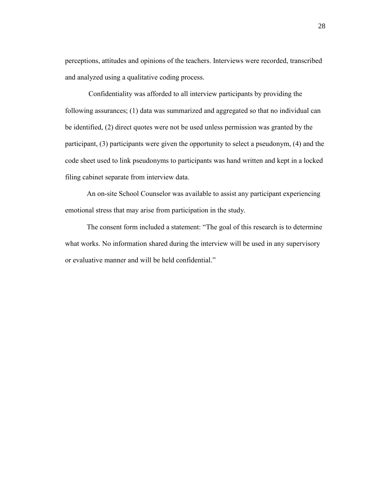perceptions, attitudes and opinions of the teachers. Interviews were recorded, transcribed and analyzed using a qualitative coding process.

Confidentiality was afforded to all interview participants by providing the following assurances; (1) data was summarized and aggregated so that no individual can be identified, (2) direct quotes were not be used unless permission was granted by the participant, (3) participants were given the opportunity to select a pseudonym, (4) and the code sheet used to link pseudonyms to participants was hand written and kept in a locked filing cabinet separate from interview data.

An on-site School Counselor was available to assist any participant experiencing emotional stress that may arise from participation in the study.

The consent form included a statement: "The goal of this research is to determine what works. No information shared during the interview will be used in any supervisory or evaluative manner and will be held confidential."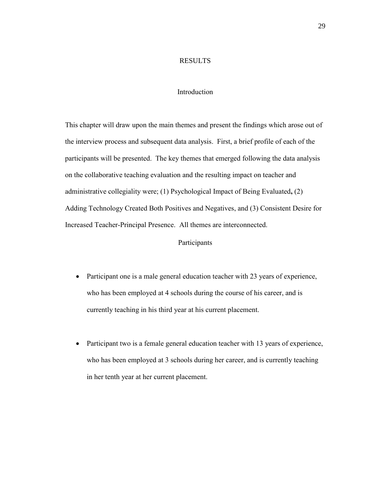#### RESULTS

#### Introduction

<span id="page-32-1"></span><span id="page-32-0"></span>This chapter will draw upon the main themes and present the findings which arose out of the interview process and subsequent data analysis. First, a brief profile of each of the participants will be presented. The key themes that emerged following the data analysis on the collaborative teaching evaluation and the resulting impact on teacher and administrative collegiality were; (1) Psychological Impact of Being Evaluated**,** (2) Adding Technology Created Both Positives and Negatives, and (3) Consistent Desire for Increased Teacher-Principal Presence. All themes are interconnected.

## Participants

- <span id="page-32-2"></span>• Participant one is a male general education teacher with 23 years of experience, who has been employed at 4 schools during the course of his career, and is currently teaching in his third year at his current placement.
- Participant two is a female general education teacher with 13 years of experience, who has been employed at 3 schools during her career, and is currently teaching in her tenth year at her current placement.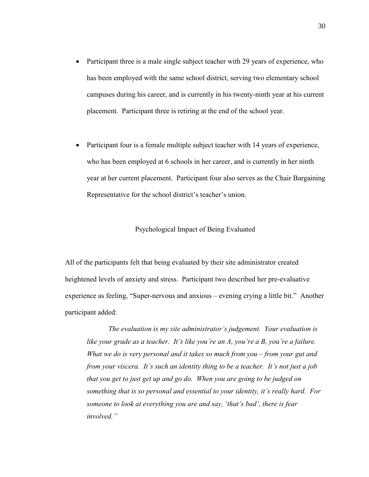- Participant three is a male single subject teacher with 29 years of experience, who has been employed with the same school district, serving two elementary school campuses during his career, and is currently in his twenty-ninth year at his current placement. Participant three is retiring at the end of the school year.
- Participant four is a female multiple subject teacher with 14 years of experience, who has been employed at 6 schools in her career, and is currently in her ninth year at her current placement. Participant four also serves as the Chair Bargaining Representative for the school district's teacher's union.

#### Psychological Impact of Being Evaluated

<span id="page-33-0"></span>All of the participants felt that being evaluated by their site administrator created heightened levels of anxiety and stress. Participant two described her pre-evaluative experience as feeling, "Super-nervous and anxious – evening crying a little bit." Another participant added:

*The evaluation is my site administrator's judgement. Your evaluation is like your grade as a teacher. It's like you're an A, you're a B, you're a failure. What we do is very personal and it takes so much from you – from your gut and from your viscera. It's such an identity thing to be a teacher. It's not just a job that you get to just get up and go do. When you are going to be judged on something that is so personal and essential to your identity, it's really hard. For someone to look at everything you are and say, 'that's bad', there is fear involved."*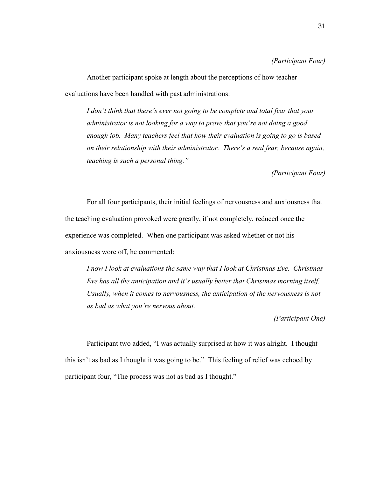#### *(Participant Four)*

Another participant spoke at length about the perceptions of how teacher evaluations have been handled with past administrations:

*I don't think that there's ever not going to be complete and total fear that your administrator is not looking for a way to prove that you're not doing a good enough job. Many teachers feel that how their evaluation is going to go is based on their relationship with their administrator. There's a real fear, because again, teaching is such a personal thing."*

*(Participant Four)*

For all four participants, their initial feelings of nervousness and anxiousness that the teaching evaluation provoked were greatly, if not completely, reduced once the experience was completed. When one participant was asked whether or not his anxiousness wore off, he commented:

*I now I look at evaluations the same way that I look at Christmas Eve. Christmas Eve has all the anticipation and it's usually better that Christmas morning itself. Usually, when it comes to nervousness, the anticipation of the nervousness is not as bad as what you're nervous about.*

*(Participant One)*

Participant two added, "I was actually surprised at how it was alright. I thought this isn't as bad as I thought it was going to be." This feeling of relief was echoed by participant four, "The process was not as bad as I thought."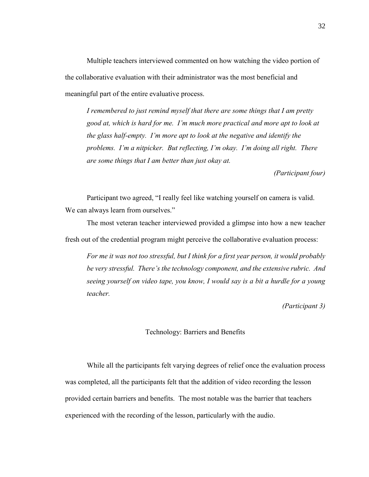Multiple teachers interviewed commented on how watching the video portion of the collaborative evaluation with their administrator was the most beneficial and meaningful part of the entire evaluative process.

*I remembered to just remind myself that there are some things that I am pretty good at, which is hard for me. I'm much more practical and more apt to look at the glass half-empty. I'm more apt to look at the negative and identify the problems. I'm a nitpicker. But reflecting, I'm okay. I'm doing all right. There are some things that I am better than just okay at.* 

*(Participant four)*

Participant two agreed, "I really feel like watching yourself on camera is valid. We can always learn from ourselves."

The most veteran teacher interviewed provided a glimpse into how a new teacher fresh out of the credential program might perceive the collaborative evaluation process:

*For me it was not too stressful, but I think for a first year person, it would probably be very stressful. There's the technology component, and the extensive rubric. And seeing yourself on video tape, you know, I would say is a bit a hurdle for a young teacher.*

*(Participant 3)*

#### Technology: Barriers and Benefits

<span id="page-35-0"></span>While all the participants felt varying degrees of relief once the evaluation process was completed, all the participants felt that the addition of video recording the lesson provided certain barriers and benefits. The most notable was the barrier that teachers experienced with the recording of the lesson, particularly with the audio.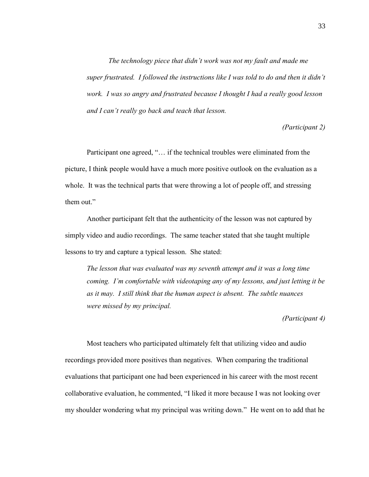*The technology piece that didn't work was not my fault and made me super frustrated. I followed the instructions like I was told to do and then it didn't work. I was so angry and frustrated because I thought I had a really good lesson and I can't really go back and teach that lesson.*

*(Participant 2)*

Participant one agreed, "… if the technical troubles were eliminated from the picture, I think people would have a much more positive outlook on the evaluation as a whole. It was the technical parts that were throwing a lot of people off, and stressing them out."

Another participant felt that the authenticity of the lesson was not captured by simply video and audio recordings. The same teacher stated that she taught multiple lessons to try and capture a typical lesson. She stated:

*The lesson that was evaluated was my seventh attempt and it was a long time coming. I'm comfortable with videotaping any of my lessons, and just letting it be as it may. I still think that the human aspect is absent. The subtle nuances were missed by my principal.* 

*(Participant 4)*

Most teachers who participated ultimately felt that utilizing video and audio recordings provided more positives than negatives. When comparing the traditional evaluations that participant one had been experienced in his career with the most recent collaborative evaluation, he commented, "I liked it more because I was not looking over my shoulder wondering what my principal was writing down." He went on to add that he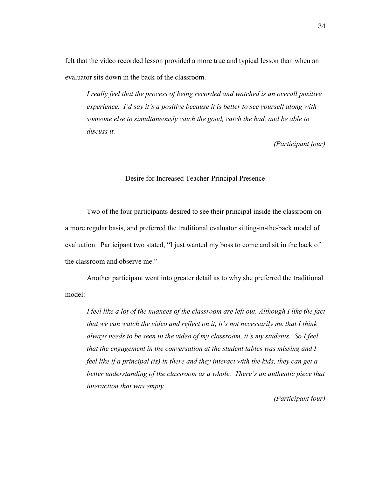felt that the video recorded lesson provided a more true and typical lesson than when an evaluator sits down in the back of the classroom.

*I really feel that the process of being recorded and watched is an overall positive experience. I'd say it's a positive because it is better to see yourself along with someone else to simultaneously catch the good, catch the bad, and be able to discuss it.*

*(Participant four)*

#### Desire for Increased Teacher-Principal Presence

<span id="page-37-0"></span>Two of the four participants desired to see their principal inside the classroom on a more regular basis, and preferred the traditional evaluator sitting-in-the-back model of evaluation. Participant two stated, "I just wanted my boss to come and sit in the back of the classroom and observe me."

Another participant went into greater detail as to why she preferred the traditional model:

*I feel like a lot of the nuances of the classroom are left out. Although I like the fact that we can watch the video and reflect on it, it's not necessarily me that I think always needs to be seen in the video of my classroom, it's my students. So I feel that the engagement in the conversation at the student tables was missing and I feel like if a principal (is) in there and they interact with the kids, they can get a better understanding of the classroom as a whole. There's an authentic piece that interaction that was empty.*

*(Participant four)*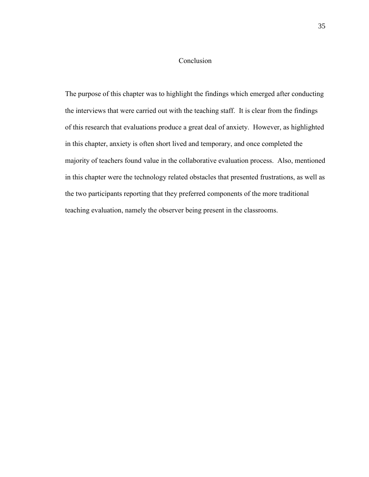## Conclusion

<span id="page-38-0"></span>The purpose of this chapter was to highlight the findings which emerged after conducting the interviews that were carried out with the teaching staff. It is clear from the findings of this research that evaluations produce a great deal of anxiety. However, as highlighted in this chapter, anxiety is often short lived and temporary, and once completed the majority of teachers found value in the collaborative evaluation process. Also, mentioned in this chapter were the technology related obstacles that presented frustrations, as well as the two participants reporting that they preferred components of the more traditional teaching evaluation, namely the observer being present in the classrooms.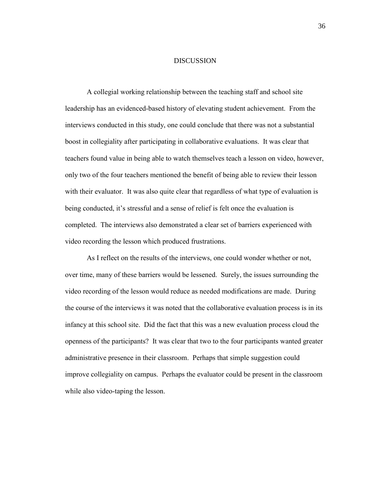#### **DISCUSSION**

<span id="page-39-0"></span>A collegial working relationship between the teaching staff and school site leadership has an evidenced-based history of elevating student achievement. From the interviews conducted in this study, one could conclude that there was not a substantial boost in collegiality after participating in collaborative evaluations. It was clear that teachers found value in being able to watch themselves teach a lesson on video, however, only two of the four teachers mentioned the benefit of being able to review their lesson with their evaluator. It was also quite clear that regardless of what type of evaluation is being conducted, it's stressful and a sense of relief is felt once the evaluation is completed. The interviews also demonstrated a clear set of barriers experienced with video recording the lesson which produced frustrations.

As I reflect on the results of the interviews, one could wonder whether or not, over time, many of these barriers would be lessened. Surely, the issues surrounding the video recording of the lesson would reduce as needed modifications are made. During the course of the interviews it was noted that the collaborative evaluation process is in its infancy at this school site. Did the fact that this was a new evaluation process cloud the openness of the participants? It was clear that two to the four participants wanted greater administrative presence in their classroom. Perhaps that simple suggestion could improve collegiality on campus. Perhaps the evaluator could be present in the classroom while also video-taping the lesson.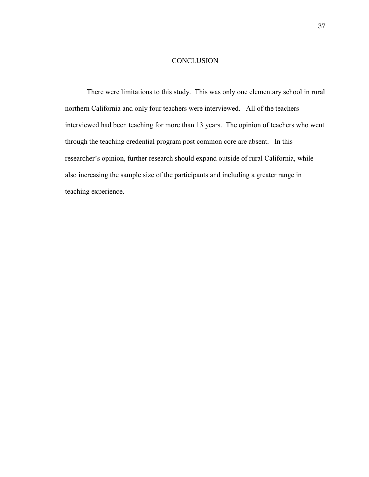#### **CONCLUSION**

<span id="page-40-0"></span>There were limitations to this study. This was only one elementary school in rural northern California and only four teachers were interviewed. All of the teachers interviewed had been teaching for more than 13 years. The opinion of teachers who went through the teaching credential program post common core are absent. In this researcher's opinion, further research should expand outside of rural California, while also increasing the sample size of the participants and including a greater range in teaching experience.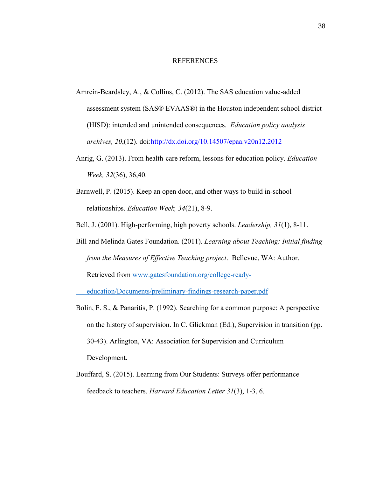#### REFERENCES

- <span id="page-41-0"></span>Amrein-Beardsley, A., & Collins, C. (2012). The SAS education value-added assessment system (SAS® EVAAS®) in the Houston independent school district (HISD): intended and unintended consequences. *Education policy analysis archives, 20*,(12). doi[:http://dx.doi.org/10.14507/epaa.v20n12.2012](http://dx.doi.org/10.14507/epaa.v20n12.2012)
- Anrig, G. (2013). From health-care reform, lessons for education policy. *Education Week, 32*(36), 36,40.
- Barnwell, P. (2015). Keep an open door, and other ways to build in-school relationships. *Education Week, 34*(21), 8-9.
- Bell, J. (2001). High-performing, high poverty schools. *Leadership, 31*(1), 8-11.
- Bill and Melinda Gates Foundation. (2011). *Learning about Teaching: Initial finding from the Measures of Effective Teaching project*. Bellevue, WA: Author. Retrieved from [www.gatesfoundation.org/college-ready-](http://www.gatesfoundation.org/college-ready-%09education/Documents/preliminary-findings-research-paper.pdf)

[education/Documents/preliminary-findings-research-paper.pdf](http://www.gatesfoundation.org/college-ready-%09education/Documents/preliminary-findings-research-paper.pdf)

- Bolin, F. S., & Panaritis, P. (1992). Searching for a common purpose: A perspective on the history of supervision. In C. Glickman (Ed.), Supervision in transition (pp. 30-43). Arlington, VA: Association for Supervision and Curriculum Development.
- Bouffard, S. (2015). Learning from Our Students: Surveys offer performance feedback to teachers. *Harvard Education Letter 31*(3), 1-3, 6.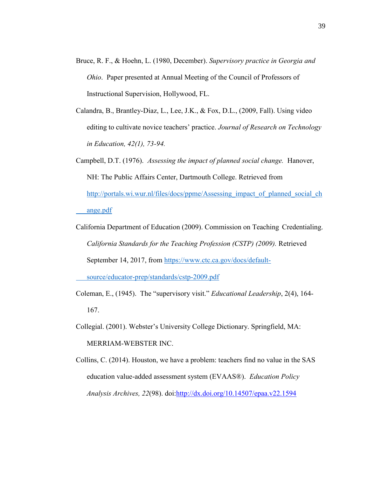- Bruce, R. F., & Hoehn, L. (1980, December). *Supervisory practice in Georgia and Ohio*. Paper presented at Annual Meeting of the Council of Professors of Instructional Supervision, Hollywood, FL.
- Calandra, B., Brantley-Diaz, L., Lee, J.K., & Fox, D.L., (2009, Fall). Using video editing to cultivate novice teachers' practice. *Journal of Research on Technology in Education, 42(1), 73-94.*
- Campbell, D.T. (1976). *Assessing the impact of planned social change.* Hanover, NH: The Public Affairs Center, Dartmouth College. Retrieved from [http://portals.wi.wur.nl/files/docs/ppme/Assessing\\_impact\\_of\\_planned\\_social\\_ch](http://portals.wi.wur.nl/files/docs/ppme/Assessing_impact_of_planned_social_ch%09ange.pdf) [ange.pdf](http://portals.wi.wur.nl/files/docs/ppme/Assessing_impact_of_planned_social_ch%09ange.pdf)
- California Department of Education (2009). Commission on Teaching Credentialing. *California Standards for the Teaching Profession (CSTP) (2009).* Retrieved September 14, 2017, from [https://www.ctc.ca.gov/docs/default-](https://www.ctc.ca.gov/docs/default-%09source/educator-prep/standards/cstp-2009.pdf)

[source/educator-prep/standards/cstp-2009.pdf](https://www.ctc.ca.gov/docs/default-%09source/educator-prep/standards/cstp-2009.pdf)

- Coleman, E., (1945). The "supervisory visit." *Educational Leadership*, 2(4), 164- 167.
- Collegial. (2001). Webster's University College Dictionary. Springfield, MA: MERRIAM-WEBSTER INC.
- Collins, C. (2014). Houston, we have a problem: teachers find no value in the SAS education value-added assessment system (EVAAS®). *Education Policy Analysis Archives, 22*(98). doi[:http://dx.doi.org/10.14507/epaa.v22.1594](http://dx.doi.org/10.14507/epaa.v22.1594)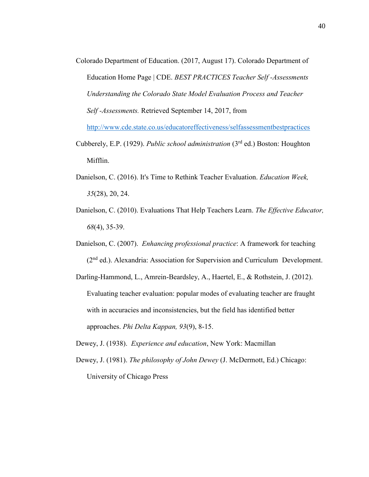- Colorado Department of Education. (2017, August 17). Colorado Department of Education Home Page | CDE. *BEST PRACTICES Teacher Self -Assessments Understanding the Colorado State Model Evaluation Process and Teacher Self -Assessments.* Retrieved September 14, 2017, from <http://www.cde.state.co.us/educatoreffectiveness/selfassessmentbestpractices> Cubberely, E.P. (1929). *Public school administration* (3rd ed.) Boston: Houghton
- Mifflin.
- Danielson, C. (2016). It's Time to Rethink Teacher Evaluation. *Education Week, 35*(28), 20, 24.
- Danielson, C. (2010). Evaluations That Help Teachers Learn. *The Effective Educator, 68*(4), 35-39.
- Danielson, C. (2007). *Enhancing professional practice*: A framework for teaching (2nd ed.). Alexandria: Association for Supervision and Curriculum Development.

Darling-Hammond, L., Amrein-Beardsley, A., Haertel, E., & Rothstein, J. (2012). Evaluating teacher evaluation: popular modes of evaluating teacher are fraught with in accuracies and inconsistencies, but the field has identified better approaches. *Phi Delta Kappan, 93*(9), 8-15.

Dewey, J. (1938). *Experience and education*, New York: Macmillan

Dewey, J. (1981). *The philosophy of John Dewey* (J. McDermott, Ed.) Chicago: University of Chicago Press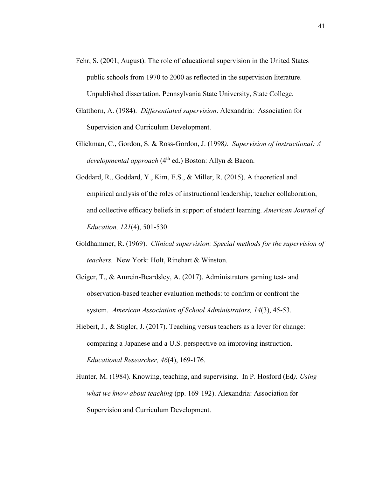- Fehr, S. (2001, August). The role of educational supervision in the United States public schools from 1970 to 2000 as reflected in the supervision literature. Unpublished dissertation, Pennsylvania State University, State College.
- Glatthorn, A. (1984). *Differentiated supervision*. Alexandria: Association for Supervision and Curriculum Development.
- Glickman, C., Gordon, S. & Ross-Gordon, J. (1998*). Supervision of instructional: A developmental approach* (4<sup>th</sup> ed.) Boston: Allyn & Bacon.
- Goddard, R., Goddard, Y., Kim, E.S., & Miller, R. (2015). A theoretical and empirical analysis of the roles of instructional leadership, teacher collaboration, and collective efficacy beliefs in support of student learning. *American Journal of Education, 121*(4), 501-530.
- Goldhammer, R. (1969). *Clinical supervision: Special methods for the supervision of teachers.* New York: Holt, Rinehart & Winston.
- Geiger, T., & Amrein-Beardsley, A. (2017). Administrators gaming test- and observation-based teacher evaluation methods: to confirm or confront the system. *American Association of School Administrators, 14*(3), 45-53.
- Hiebert, J., & Stigler, J. (2017). Teaching versus teachers as a lever for change: comparing a Japanese and a U.S. perspective on improving instruction. *Educational Researcher, 46*(4), 169-176.
- Hunter, M. (1984). Knowing, teaching, and supervising. In P. Hosford (Ed*). Using what we know about teaching* (pp. 169-192). Alexandria: Association for Supervision and Curriculum Development.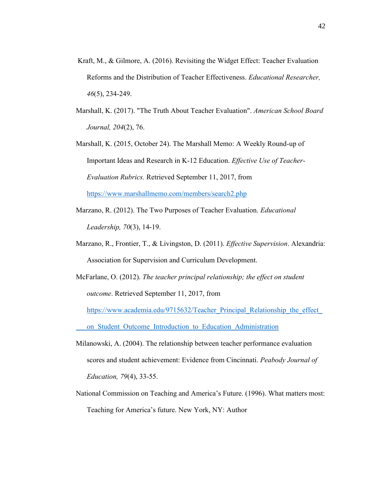- Kraft, M., & Gilmore, A. (2016). Revisiting the Widget Effect: Teacher Evaluation Reforms and the Distribution of Teacher Effectiveness. *Educational Researcher, 46*(5), 234-249.
- Marshall, K. (2017). "The Truth About Teacher Evaluation". *American School Board Journal, 204*(2), 76.
- Marshall, K. (2015, October 24). The Marshall Memo: A Weekly Round-up of Important Ideas and Research in K-12 Education. *Effective Use of Teacher-Evaluation Rubrics.* Retrieved September 11, 2017, from <https://www.marshallmemo.com/members/search2.php>
- Marzano, R. (2012). The Two Purposes of Teacher Evaluation. *Educational Leadership, 70*(3), 14-19.
- Marzano, R., Frontier, T., & Livingston, D. (2011). *Effective Supervision*. Alexandria: Association for Supervision and Curriculum Development.
- McFarlane, O. (2012). *The teacher principal relationship; the effect on student outcome*. Retrieved September 11, 2017, from

https://www.academia.edu/9715632/Teacher Principal Relationship the effect

on Student Outcome Introduction to Education Administration

- Milanowski, A. (2004). The relationship between teacher performance evaluation scores and student achievement: Evidence from Cincinnati. *Peabody Journal of Education, 79*(4), 33-55.
- National Commission on Teaching and America's Future. (1996). What matters most: Teaching for America's future. New York, NY: Author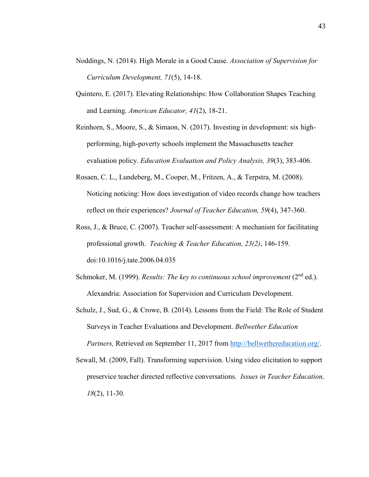- Noddings, N. (2014). High Morale in a Good Cause. *Association of Supervision for Curriculum Development, 71*(5), 14-18.
- Quintero, E. (2017). Elevating Relationships: How Collaboration Shapes Teaching and Learning. *American Educator, 41*(2), 18-21.
- Reinhorn, S., Moore, S., & Simaon, N. (2017). Investing in development: six highperforming, high-poverty schools implement the Massachusetts teacher evaluation policy. *Education Evaluation and Policy Analysis, 39*(3), 383-406.
- Rosaen, C. L., Lundeberg, M., Cooper, M., Fritzen, A., & Terpstra, M. (2008). Noticing noticing: How does investigation of video records change how teachers reflect on their experiences? *Journal of Teacher Education, 59*(4), 347-360.
- Ross, J., & Bruce, C. (2007). Teacher self-assessment: A mechanism for facilitating professional growth. *Teaching & Teacher Education, 23(2)*, 146-159. doi:10.1016/j.tate.2006.04.035
- Schmoker, M. (1999). *Results: The key to continuous school improvement* (2<sup>nd</sup> ed.). Alexandria: Association for Supervision and Curriculum Development.
- Schulz, J., Sud, G., & Crowe, B. (2014). Lessons from the Field: The Role of Student Surveys in Teacher Evaluations and Development. *Bellwether Education Partners,* Retrieved on September 11, 2017 from [http://bellwethereducation.org/.](http://bellwethereducation.org/)
- Sewall, M. (2009, Fall). Transforming supervision. Using video elicitation to support preservice teacher directed reflective conversations. *Issues in Teacher Education, 18*(2), 11-30.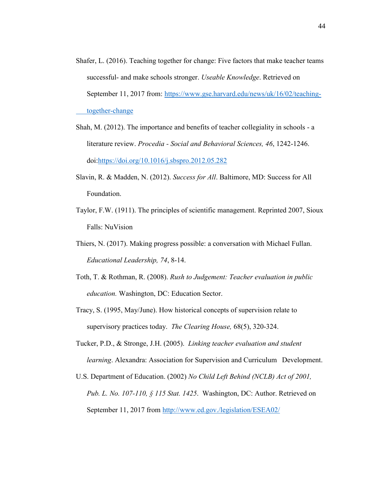- Shafer, L. (2016). Teaching together for change: Five factors that make teacher teams successful- and make schools stronger. *Useable Knowledge*. Retrieved on September 11, 2017 from: [https://www.gse.harvard.edu/news/uk/16/02/teaching](https://www.gse.harvard.edu/news/uk/16/02/teaching-%09together-change)[together-change](https://www.gse.harvard.edu/news/uk/16/02/teaching-%09together-change)
- Shah, M. (2012). The importance and benefits of teacher collegiality in schools a literature review. *Procedia - Social and Behavioral Sciences, 46*, 1242-1246. doi[:https://doi.org/10.1016/j.sbspro.2012.05.282](https://doi.org/10.1016/j.sbspro.2012.05.282)
- Slavin, R. & Madden, N. (2012). *Success for All*. Baltimore, MD: Success for All Foundation.
- Taylor, F.W. (1911). The principles of scientific management. Reprinted 2007, Sioux Falls: NuVision
- Thiers, N. (2017). Making progress possible: a conversation with Michael Fullan. *Educational Leadership, 74*, 8-14.
- Toth, T. & Rothman, R. (2008). *Rush to Judgement: Teacher evaluation in public education.* Washington, DC: Education Sector.
- Tracy, S. (1995, May/June). How historical concepts of supervision relate to supervisory practices today. *The Clearing House,* 68(5), 320-324.
- Tucker, P.D., & Stronge, J.H. (2005). *Linking teacher evaluation and student learning*. Alexandra: Association for Supervision and Curriculum Development.
- U.S. Department of Education. (2002) *No Child Left Behind (NCLB) Act of 2001, Pub. L. No. 107-110, § 115 Stat. 1425*. Washington, DC: Author. Retrieved on September 11, 2017 from<http://www.ed.gov./legislation/ESEA02/>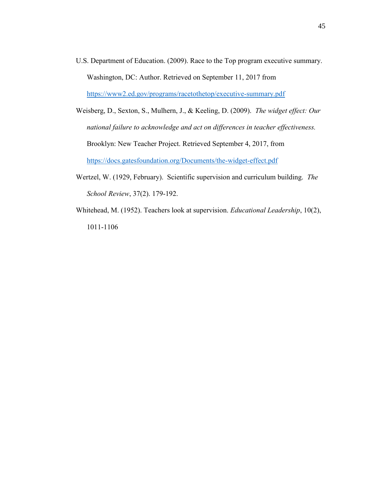- U.S. Department of Education. (2009). Race to the Top program executive summary. Washington, DC: Author. Retrieved on September 11, 2017 from <https://www2.ed.gov/programs/racetothetop/executive-summary.pdf>
- Weisberg, D., Sexton, S., Mulhern, J., & Keeling, D. (2009). *The widget effect: Our national failure to acknowledge and act on differences in teacher effectiveness.* Brooklyn: New Teacher Project. Retrieved September 4, 2017, from <https://docs.gatesfoundation.org/Documents/the-widget-effect.pdf>
- Wertzel, W. (1929, February). Scientific supervision and curriculum building. *The School Review*, 37(2). 179-192.
- Whitehead, M. (1952). Teachers look at supervision. *Educational Leadership*, 10(2), 1011-1106